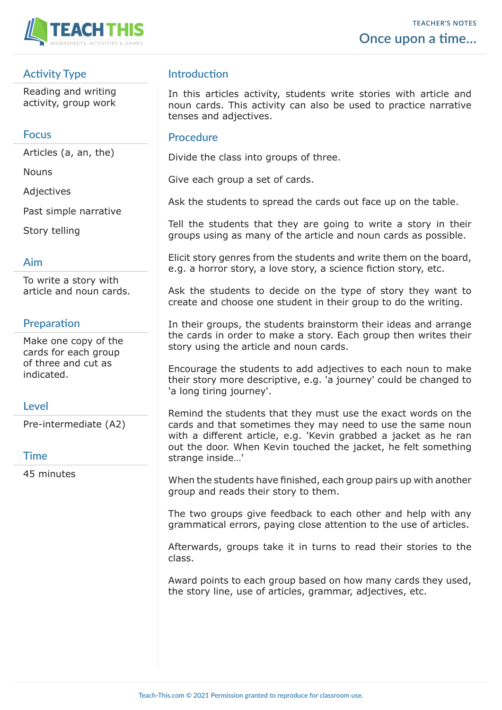

# **Activity Type**

Reading and writing activity, group work

#### **Focus**

Articles (a, an, the)

**Nouns** 

Adjectives

Past simple narrative

Story telling

# **Aim**

To write a story with article and noun cards.

# **Preparation**

Make one copy of the cards for each group of three and cut as indicated.

### **Level**

Pre-intermediate (A2)

### **Time**

45 minutes

# **Introduction**

In this articles activity, students write stories with article and noun cards. This activity can also be used to practice narrative tenses and adjectives.

#### **Procedure**

Divide the class into groups of three.

Give each group a set of cards.

Ask the students to spread the cards out face up on the table.

Tell the students that they are going to write a story in their groups using as many of the article and noun cards as possible.

Elicit story genres from the students and write them on the board, e.g. a horror story, a love story, a science fiction story, etc.

Ask the students to decide on the type of story they want to create and choose one student in their group to do the writing.

In their groups, the students brainstorm their ideas and arrange the cards in order to make a story. Each group then writes their story using the article and noun cards.

Encourage the students to add adjectives to each noun to make their story more descriptive, e.g. 'a journey' could be changed to 'a long tiring journey'.

Remind the students that they must use the exact words on the cards and that sometimes they may need to use the same noun with a different article, e.g. 'Kevin grabbed a jacket as he ran out the door. When Kevin touched the jacket, he felt something strange inside…'

When the students have finished, each group pairs up with another group and reads their story to them.

The two groups give feedback to each other and help with any grammatical errors, paying close attention to the use of articles.

Afterwards, groups take it in turns to read their stories to the class.

Award points to each group based on how many cards they used, the story line, use of articles, grammar, adjectives, etc.